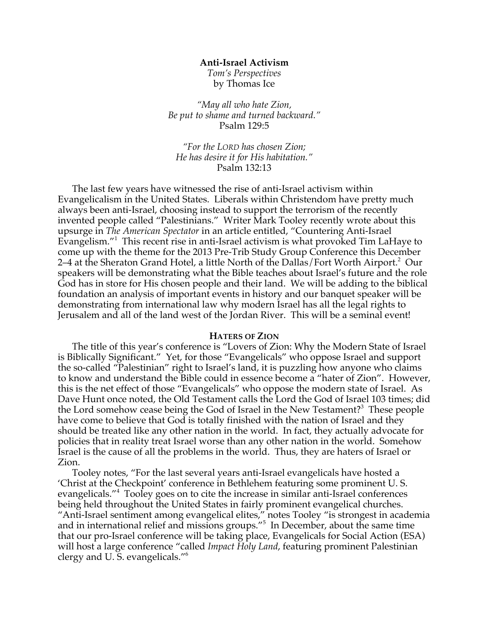### **Anti-Israel Activism**

*Tom's Perspectives* by Thomas Ice

*"May all who hate Zion, Be put to shame and turned backward."* Psalm 129:5

*"For the LORD has chosen Zion; He has desire it for His habitation."* Psalm 132:13

The last few years have witnessed the rise of anti-Israel activism within Evangelicalism in the United States. Liberals within Christendom have pretty much always been anti-Israel, choosing instead to support the terrorism of the recently invented people called "Palestinians." Writer Mark Tooley recently wrote about this upsurge in *The American Spectator* in an article entitled, "Countering Anti-Israel Evangelism."<sup>1</sup> This recent rise in anti-Israel activism is what provoked Tim LaHaye to come up with the theme for the 2013 Pre-Trib Study Group Conference this December 2–4 at the Sheraton Grand Hotel, a little North of the Dallas/Fort Worth Airport.<sup>2</sup> Our speakers will be demonstrating what the Bible teaches about Israel's future and the role God has in store for His chosen people and their land. We will be adding to the biblical foundation an analysis of important events in history and our banquet speaker will be demonstrating from international law why modern Israel has all the legal rights to Jerusalem and all of the land west of the Jordan River. This will be a seminal event!

#### **HATERS OF ZION**

The title of this year's conference is "Lovers of Zion: Why the Modern State of Israel is Biblically Significant." Yet, for those "Evangelicals" who oppose Israel and support the so-called "Palestinian" right to Israel's land, it is puzzling how anyone who claims to know and understand the Bible could in essence become a "hater of Zion". However, this is the net effect of those "Evangelicals" who oppose the modern state of Israel. As Dave Hunt once noted, the Old Testament calls the Lord the God of Israel 103 times; did the Lord somehow cease being the God of Israel in the New Testament?<sup>3</sup> These people have come to believe that God is totally finished with the nation of Israel and they should be treated like any other nation in the world. In fact, they actually advocate for policies that in reality treat Israel worse than any other nation in the world. Somehow Israel is the cause of all the problems in the world. Thus, they are haters of Israel or Zion.

Tooley notes, "For the last several years anti-Israel evangelicals have hosted a 'Christ at the Checkpoint' conference in Bethlehem featuring some prominent U. S. evangelicals."<sup>4</sup> Tooley goes on to cite the increase in similar anti-Israel conferences being held throughout the United States in fairly prominent evangelical churches. "Anti-Israel sentiment among evangelical elites," notes Tooley "is strongest in academia and in international relief and missions groups."<sup>5</sup> In December, about the same time that our pro-Israel conference will be taking place, Evangelicals for Social Action (ESA) will host a large conference "called *Impact Holy Land*, featuring prominent Palestinian clergy and U. S. evangelicals."6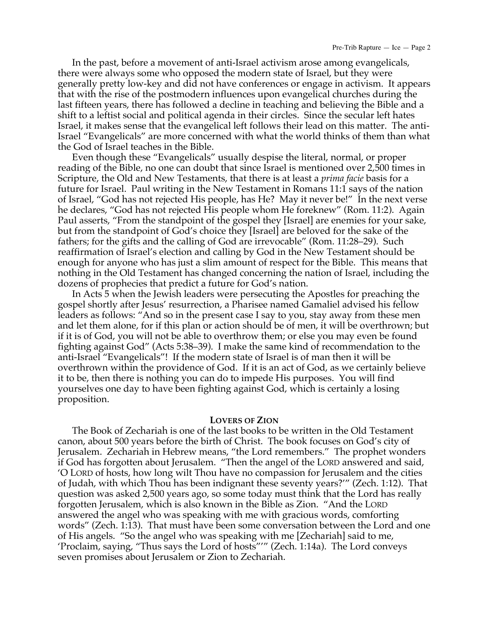In the past, before a movement of anti-Israel activism arose among evangelicals, there were always some who opposed the modern state of Israel, but they were generally pretty low-key and did not have conferences or engage in activism. It appears that with the rise of the postmodern influences upon evangelical churches during the last fifteen years, there has followed a decline in teaching and believing the Bible and a shift to a leftist social and political agenda in their circles. Since the secular left hates Israel, it makes sense that the evangelical left follows their lead on this matter. The anti-Israel "Evangelicals" are more concerned with what the world thinks of them than what the God of Israel teaches in the Bible.

Even though these "Evangelicals" usually despise the literal, normal, or proper reading of the Bible, no one can doubt that since Israel is mentioned over 2,500 times in Scripture, the Old and New Testaments, that there is at least a *prima facie* basis for a future for Israel. Paul writing in the New Testament in Romans 11:1 says of the nation of Israel, "God has not rejected His people, has He? May it never be!" In the next verse he declares, "God has not rejected His people whom He foreknew" (Rom. 11:2). Again Paul asserts, "From the standpoint of the gospel they [Israel] are enemies for your sake, but from the standpoint of God's choice they [Israel] are beloved for the sake of the fathers; for the gifts and the calling of God are irrevocable" (Rom. 11:28–29). Such reaffirmation of Israel's election and calling by God in the New Testament should be enough for anyone who has just a slim amount of respect for the Bible. This means that nothing in the Old Testament has changed concerning the nation of Israel, including the dozens of prophecies that predict a future for God's nation.

In Acts 5 when the Jewish leaders were persecuting the Apostles for preaching the gospel shortly after Jesus' resurrection, a Pharisee named Gamaliel advised his fellow leaders as follows: "And so in the present case I say to you, stay away from these men and let them alone, for if this plan or action should be of men, it will be overthrown; but if it is of God, you will not be able to overthrow them; or else you may even be found fighting against God" (Acts 5:38–39). I make the same kind of recommendation to the anti-Israel "Evangelicals"! If the modern state of Israel is of man then it will be overthrown within the providence of God. If it is an act of God, as we certainly believe it to be, then there is nothing you can do to impede His purposes. You will find yourselves one day to have been fighting against God, which is certainly a losing proposition.

# **LOVERS OF ZION**

The Book of Zechariah is one of the last books to be written in the Old Testament canon, about 500 years before the birth of Christ. The book focuses on God's city of Jerusalem. Zechariah in Hebrew means, "the Lord remembers." The prophet wonders if God has forgotten about Jerusalem. "Then the angel of the LORD answered and said, 'O LORD of hosts, how long wilt Thou have no compassion for Jerusalem and the cities of Judah, with which Thou has been indignant these seventy years?'" (Zech. 1:12). That question was asked 2,500 years ago, so some today must think that the Lord has really forgotten Jerusalem, which is also known in the Bible as Zion. "And the LORD answered the angel who was speaking with me with gracious words, comforting words" (Zech. 1:13). That must have been some conversation between the Lord and one of His angels. "So the angel who was speaking with me [Zechariah] said to me, 'Proclaim, saying, "Thus says the Lord of hosts"'" (Zech. 1:14a). The Lord conveys seven promises about Jerusalem or Zion to Zechariah.